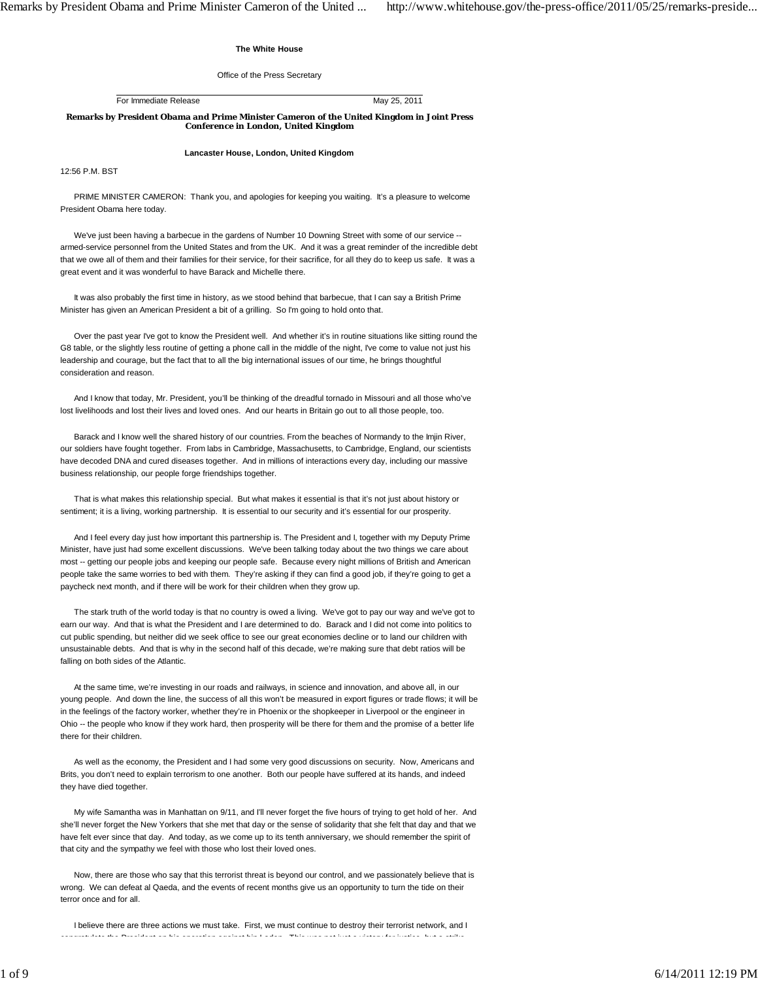## **The White House**

Office of the Press Secretary

For Immediate Release May 25, 2011

**Remarks by President Obama and Prime Minister Cameron of the United Kingdom in Joint Press Conference in London, United Kingdom**

**Lancaster House, London, United Kingdom**

12:56 P.M. BST

PRIME MINISTER CAMERON: Thank you, and apologies for keeping you waiting. It's a pleasure to welcome President Obama here today.

We've just been having a barbecue in the gardens of Number 10 Downing Street with some of our service -armed-service personnel from the United States and from the UK. And it was a great reminder of the incredible debt that we owe all of them and their families for their service, for their sacrifice, for all they do to keep us safe. It was a great event and it was wonderful to have Barack and Michelle there.

It was also probably the first time in history, as we stood behind that barbecue, that I can say a British Prime Minister has given an American President a bit of a grilling. So I'm going to hold onto that.

 Over the past year I've got to know the President well. And whether it's in routine situations like sitting round the G8 table, or the slightly less routine of getting a phone call in the middle of the night, I've come to value not just his leadership and courage, but the fact that to all the big international issues of our time, he brings thoughtful consideration and reason.

 And I know that today, Mr. President, you'll be thinking of the dreadful tornado in Missouri and all those who've lost livelihoods and lost their lives and loved ones. And our hearts in Britain go out to all those people, too.

 Barack and I know well the shared history of our countries. From the beaches of Normandy to the Imjin River, our soldiers have fought together. From labs in Cambridge, Massachusetts, to Cambridge, England, our scientists have decoded DNA and cured diseases together. And in millions of interactions every day, including our massive business relationship, our people forge friendships together.

 That is what makes this relationship special. But what makes it essential is that it's not just about history or sentiment; it is a living, working partnership. It is essential to our security and it's essential for our prosperity.

 And I feel every day just how important this partnership is. The President and I, together with my Deputy Prime Minister, have just had some excellent discussions. We've been talking today about the two things we care about most -- getting our people jobs and keeping our people safe. Because every night millions of British and American people take the same worries to bed with them. They're asking if they can find a good job, if they're going to get a paycheck next month, and if there will be work for their children when they grow up.

 The stark truth of the world today is that no country is owed a living. We've got to pay our way and we've got to earn our way. And that is what the President and I are determined to do. Barack and I did not come into politics to cut public spending, but neither did we seek office to see our great economies decline or to land our children with unsustainable debts. And that is why in the second half of this decade, we're making sure that debt ratios will be falling on both sides of the Atlantic.

 At the same time, we're investing in our roads and railways, in science and innovation, and above all, in our young people. And down the line, the success of all this won't be measured in export figures or trade flows; it will be in the feelings of the factory worker, whether they're in Phoenix or the shopkeeper in Liverpool or the engineer in Ohio -- the people who know if they work hard, then prosperity will be there for them and the promise of a better life there for their children.

 As well as the economy, the President and I had some very good discussions on security. Now, Americans and Brits, you don't need to explain terrorism to one another. Both our people have suffered at its hands, and indeed they have died together.

 My wife Samantha was in Manhattan on 9/11, and I'll never forget the five hours of trying to get hold of her. And she'll never forget the New Yorkers that she met that day or the sense of solidarity that she felt that day and that we have felt ever since that day. And today, as we come up to its tenth anniversary, we should remember the spirit of that city and the sympathy we feel with those who lost their loved ones.

 Now, there are those who say that this terrorist threat is beyond our control, and we passionately believe that is wrong. We can defeat al Qaeda, and the events of recent months give us an opportunity to turn the tide on their terror once and for all.

 I believe there are three actions we must take. First, we must continue to destroy their terrorist network, and I congratulate the President on his operation against bin Laden This was not just a victory for justice but a strike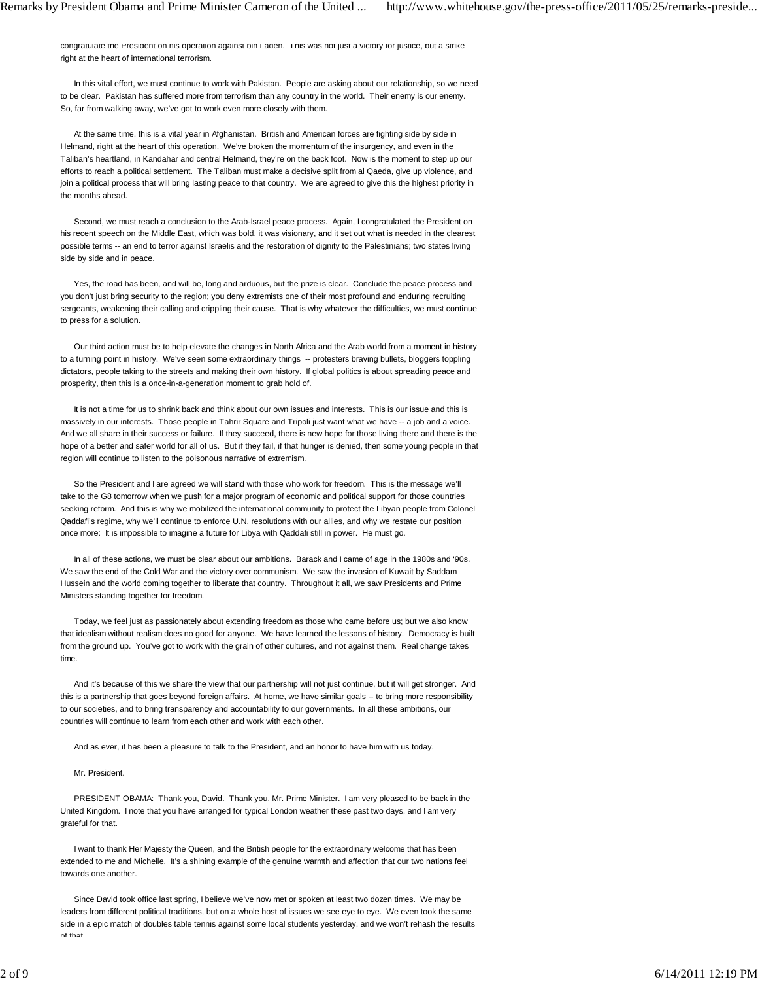congratulate the President on his operation against bin Laden. Inis was not just a victory for justice, but a strike right at the heart of international terrorism.

 In this vital effort, we must continue to work with Pakistan. People are asking about our relationship, so we need to be clear. Pakistan has suffered more from terrorism than any country in the world. Their enemy is our enemy. So, far from walking away, we've got to work even more closely with them.

 At the same time, this is a vital year in Afghanistan. British and American forces are fighting side by side in Helmand, right at the heart of this operation. We've broken the momentum of the insurgency, and even in the Taliban's heartland, in Kandahar and central Helmand, they're on the back foot. Now is the moment to step up our efforts to reach a political settlement. The Taliban must make a decisive split from al Qaeda, give up violence, and join a political process that will bring lasting peace to that country. We are agreed to give this the highest priority in the months ahead.

 Second, we must reach a conclusion to the Arab-Israel peace process. Again, I congratulated the President on his recent speech on the Middle East, which was bold, it was visionary, and it set out what is needed in the clearest possible terms -- an end to terror against Israelis and the restoration of dignity to the Palestinians; two states living side by side and in peace.

 Yes, the road has been, and will be, long and arduous, but the prize is clear. Conclude the peace process and you don't just bring security to the region; you deny extremists one of their most profound and enduring recruiting sergeants, weakening their calling and crippling their cause. That is why whatever the difficulties, we must continue to press for a solution.

 Our third action must be to help elevate the changes in North Africa and the Arab world from a moment in history to a turning point in history. We've seen some extraordinary things -- protesters braving bullets, bloggers toppling dictators, people taking to the streets and making their own history. If global politics is about spreading peace and prosperity, then this is a once-in-a-generation moment to grab hold of.

 It is not a time for us to shrink back and think about our own issues and interests. This is our issue and this is massively in our interests. Those people in Tahrir Square and Tripoli just want what we have -- a job and a voice. And we all share in their success or failure. If they succeed, there is new hope for those living there and there is the hope of a better and safer world for all of us. But if they fail, if that hunger is denied, then some young people in that region will continue to listen to the poisonous narrative of extremism.

 So the President and I are agreed we will stand with those who work for freedom. This is the message we'll take to the G8 tomorrow when we push for a major program of economic and political support for those countries seeking reform. And this is why we mobilized the international community to protect the Libyan people from Colonel Qaddafi's regime, why we'll continue to enforce U.N. resolutions with our allies, and why we restate our position once more: It is impossible to imagine a future for Libya with Qaddafi still in power. He must go.

 In all of these actions, we must be clear about our ambitions. Barack and I came of age in the 1980s and '90s. We saw the end of the Cold War and the victory over communism. We saw the invasion of Kuwait by Saddam Hussein and the world coming together to liberate that country. Throughout it all, we saw Presidents and Prime Ministers standing together for freedom.

 Today, we feel just as passionately about extending freedom as those who came before us; but we also know that idealism without realism does no good for anyone. We have learned the lessons of history. Democracy is built from the ground up. You've got to work with the grain of other cultures, and not against them. Real change takes time.

 And it's because of this we share the view that our partnership will not just continue, but it will get stronger. And this is a partnership that goes beyond foreign affairs. At home, we have similar goals -- to bring more responsibility to our societies, and to bring transparency and accountability to our governments. In all these ambitions, our countries will continue to learn from each other and work with each other.

And as ever, it has been a pleasure to talk to the President, and an honor to have him with us today.

Mr. President.

 PRESIDENT OBAMA: Thank you, David. Thank you, Mr. Prime Minister. I am very pleased to be back in the United Kingdom. I note that you have arranged for typical London weather these past two days, and I am very grateful for that.

 I want to thank Her Majesty the Queen, and the British people for the extraordinary welcome that has been extended to me and Michelle. It's a shining example of the genuine warmth and affection that our two nations feel towards one another.

 Since David took office last spring, I believe we've now met or spoken at least two dozen times. We may be leaders from different political traditions, but on a whole host of issues we see eye to eye. We even took the same side in a epic match of doubles table tennis against some local students yesterday, and we won't rehash the results  $A<sup>f</sup>$  that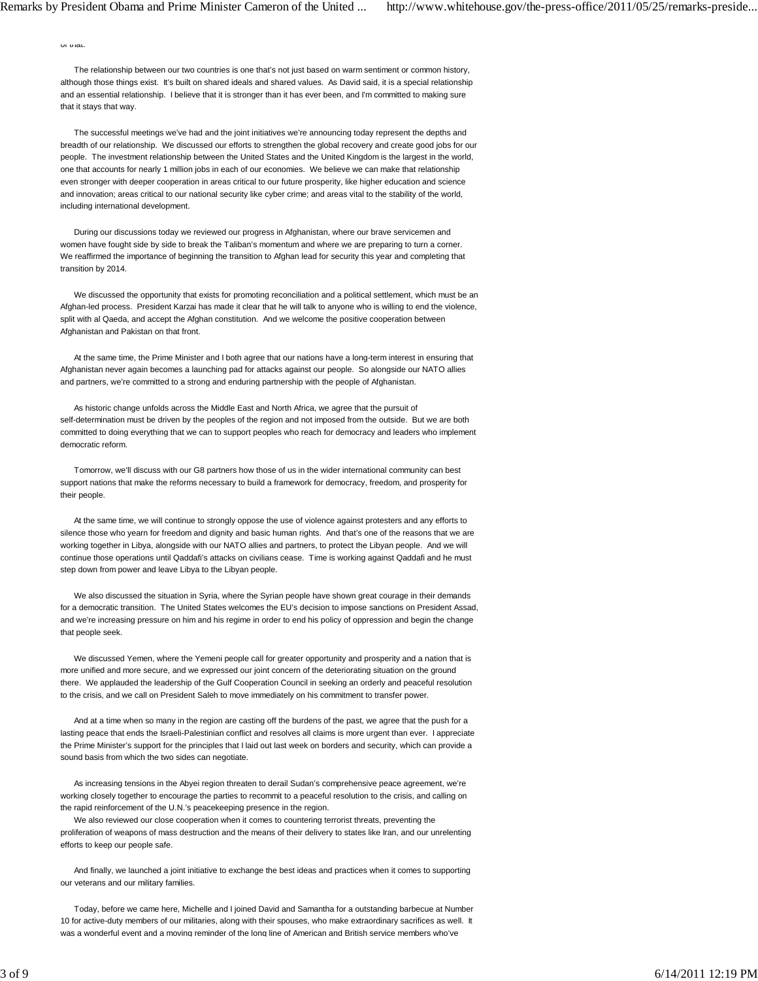of that.

 The relationship between our two countries is one that's not just based on warm sentiment or common history, although those things exist. It's built on shared ideals and shared values. As David said, it is a special relationship and an essential relationship. I believe that it is stronger than it has ever been, and I'm committed to making sure that it stays that way.

 The successful meetings we've had and the joint initiatives we're announcing today represent the depths and breadth of our relationship. We discussed our efforts to strengthen the global recovery and create good jobs for our people. The investment relationship between the United States and the United Kingdom is the largest in the world, one that accounts for nearly 1 million jobs in each of our economies. We believe we can make that relationship even stronger with deeper cooperation in areas critical to our future prosperity, like higher education and science and innovation; areas critical to our national security like cyber crime; and areas vital to the stability of the world, including international development.

 During our discussions today we reviewed our progress in Afghanistan, where our brave servicemen and women have fought side by side to break the Taliban's momentum and where we are preparing to turn a corner. We reaffirmed the importance of beginning the transition to Afghan lead for security this year and completing that transition by 2014.

 We discussed the opportunity that exists for promoting reconciliation and a political settlement, which must be an Afghan-led process. President Karzai has made it clear that he will talk to anyone who is willing to end the violence, split with al Qaeda, and accept the Afghan constitution. And we welcome the positive cooperation between Afghanistan and Pakistan on that front.

 At the same time, the Prime Minister and I both agree that our nations have a long-term interest in ensuring that Afghanistan never again becomes a launching pad for attacks against our people. So alongside our NATO allies and partners, we're committed to a strong and enduring partnership with the people of Afghanistan.

 As historic change unfolds across the Middle East and North Africa, we agree that the pursuit of self-determination must be driven by the peoples of the region and not imposed from the outside. But we are both committed to doing everything that we can to support peoples who reach for democracy and leaders who implement democratic reform.

 Tomorrow, we'll discuss with our G8 partners how those of us in the wider international community can best support nations that make the reforms necessary to build a framework for democracy, freedom, and prosperity for their people.

 At the same time, we will continue to strongly oppose the use of violence against protesters and any efforts to silence those who yearn for freedom and dignity and basic human rights. And that's one of the reasons that we are working together in Libya, alongside with our NATO allies and partners, to protect the Libyan people. And we will continue those operations until Qaddafi's attacks on civilians cease. Time is working against Qaddafi and he must step down from power and leave Libya to the Libyan people.

 We also discussed the situation in Syria, where the Syrian people have shown great courage in their demands for a democratic transition. The United States welcomes the EU's decision to impose sanctions on President Assad, and we're increasing pressure on him and his regime in order to end his policy of oppression and begin the change that people seek.

 We discussed Yemen, where the Yemeni people call for greater opportunity and prosperity and a nation that is more unified and more secure, and we expressed our joint concern of the deteriorating situation on the ground there. We applauded the leadership of the Gulf Cooperation Council in seeking an orderly and peaceful resolution to the crisis, and we call on President Saleh to move immediately on his commitment to transfer power.

 And at a time when so many in the region are casting off the burdens of the past, we agree that the push for a lasting peace that ends the Israeli-Palestinian conflict and resolves all claims is more urgent than ever. I appreciate the Prime Minister's support for the principles that I laid out last week on borders and security, which can provide a sound basis from which the two sides can negotiate.

 As increasing tensions in the Abyei region threaten to derail Sudan's comprehensive peace agreement, we're working closely together to encourage the parties to recommit to a peaceful resolution to the crisis, and calling on the rapid reinforcement of the U.N.'s peacekeeping presence in the region.

 We also reviewed our close cooperation when it comes to countering terrorist threats, preventing the proliferation of weapons of mass destruction and the means of their delivery to states like Iran, and our unrelenting efforts to keep our people safe.

 And finally, we launched a joint initiative to exchange the best ideas and practices when it comes to supporting our veterans and our military families.

 Today, before we came here, Michelle and I joined David and Samantha for a outstanding barbecue at Number 10 for active-duty members of our militaries, along with their spouses, who make extraordinary sacrifices as well. It was a wonderful event and a moving reminder of the long line of American and British service members who've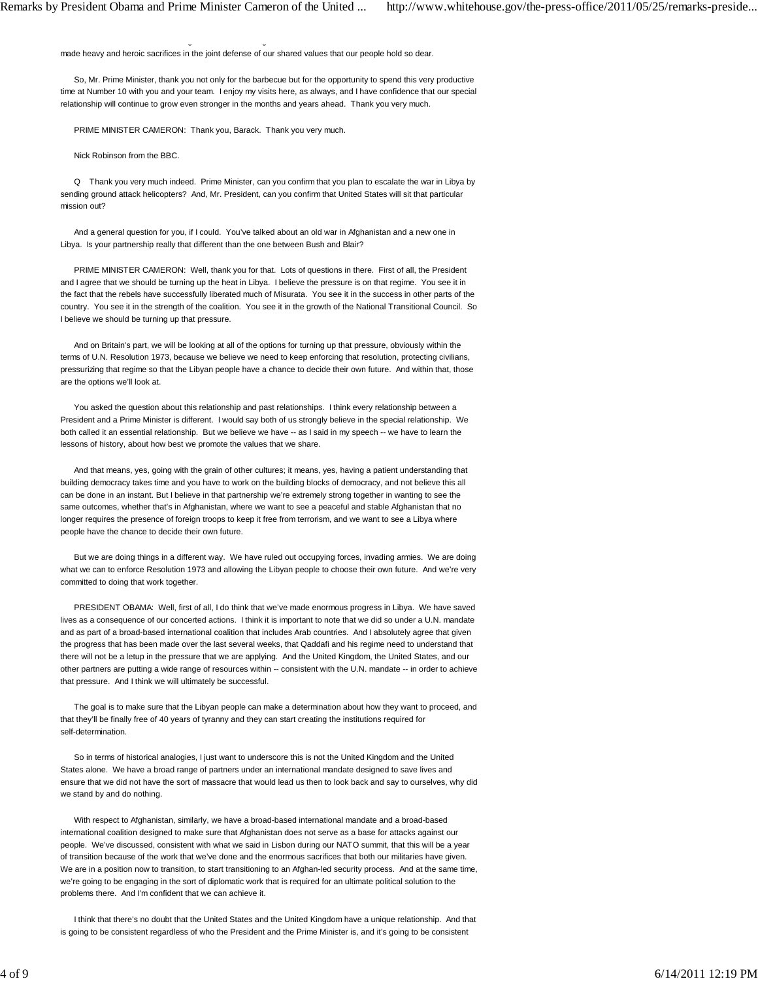made heavy and heroic sacrifices in the joint defense of our shared values that our people hold so dear.

g g

 So, Mr. Prime Minister, thank you not only for the barbecue but for the opportunity to spend this very productive time at Number 10 with you and your team. I enjoy my visits here, as always, and I have confidence that our special relationship will continue to grow even stronger in the months and years ahead. Thank you very much.

PRIME MINISTER CAMERON: Thank you, Barack. Thank you very much.

Nick Robinson from the BBC.

 Q Thank you very much indeed. Prime Minister, can you confirm that you plan to escalate the war in Libya by sending ground attack helicopters? And, Mr. President, can you confirm that United States will sit that particular mission out?

 And a general question for you, if I could. You've talked about an old war in Afghanistan and a new one in Libya. Is your partnership really that different than the one between Bush and Blair?

 PRIME MINISTER CAMERON: Well, thank you for that. Lots of questions in there. First of all, the President and I agree that we should be turning up the heat in Libya. I believe the pressure is on that regime. You see it in the fact that the rebels have successfully liberated much of Misurata. You see it in the success in other parts of the country. You see it in the strength of the coalition. You see it in the growth of the National Transitional Council. So I believe we should be turning up that pressure.

 And on Britain's part, we will be looking at all of the options for turning up that pressure, obviously within the terms of U.N. Resolution 1973, because we believe we need to keep enforcing that resolution, protecting civilians, pressurizing that regime so that the Libyan people have a chance to decide their own future. And within that, those are the options we'll look at.

 You asked the question about this relationship and past relationships. I think every relationship between a President and a Prime Minister is different. I would say both of us strongly believe in the special relationship. We both called it an essential relationship. But we believe we have -- as I said in my speech -- we have to learn the lessons of history, about how best we promote the values that we share.

 And that means, yes, going with the grain of other cultures; it means, yes, having a patient understanding that building democracy takes time and you have to work on the building blocks of democracy, and not believe this all can be done in an instant. But I believe in that partnership we're extremely strong together in wanting to see the same outcomes, whether that's in Afghanistan, where we want to see a peaceful and stable Afghanistan that no longer requires the presence of foreign troops to keep it free from terrorism, and we want to see a Libya where people have the chance to decide their own future.

 But we are doing things in a different way. We have ruled out occupying forces, invading armies. We are doing what we can to enforce Resolution 1973 and allowing the Libyan people to choose their own future. And we're very committed to doing that work together.

 PRESIDENT OBAMA: Well, first of all, I do think that we've made enormous progress in Libya. We have saved lives as a consequence of our concerted actions. I think it is important to note that we did so under a U.N. mandate and as part of a broad-based international coalition that includes Arab countries. And I absolutely agree that given the progress that has been made over the last several weeks, that Qaddafi and his regime need to understand that there will not be a letup in the pressure that we are applying. And the United Kingdom, the United States, and our other partners are putting a wide range of resources within -- consistent with the U.N. mandate -- in order to achieve that pressure. And I think we will ultimately be successful.

 The goal is to make sure that the Libyan people can make a determination about how they want to proceed, and that they'll be finally free of 40 years of tyranny and they can start creating the institutions required for self-determination.

 So in terms of historical analogies, I just want to underscore this is not the United Kingdom and the United States alone. We have a broad range of partners under an international mandate designed to save lives and ensure that we did not have the sort of massacre that would lead us then to look back and say to ourselves, why did we stand by and do nothing.

 With respect to Afghanistan, similarly, we have a broad-based international mandate and a broad-based international coalition designed to make sure that Afghanistan does not serve as a base for attacks against our people. We've discussed, consistent with what we said in Lisbon during our NATO summit, that this will be a year of transition because of the work that we've done and the enormous sacrifices that both our militaries have given. We are in a position now to transition, to start transitioning to an Afghan-led security process. And at the same time, we're going to be engaging in the sort of diplomatic work that is required for an ultimate political solution to the problems there. And I'm confident that we can achieve it.

 I think that there's no doubt that the United States and the United Kingdom have a unique relationship. And that is going to be consistent regardless of who the President and the Prime Minister is, and it's going to be consistent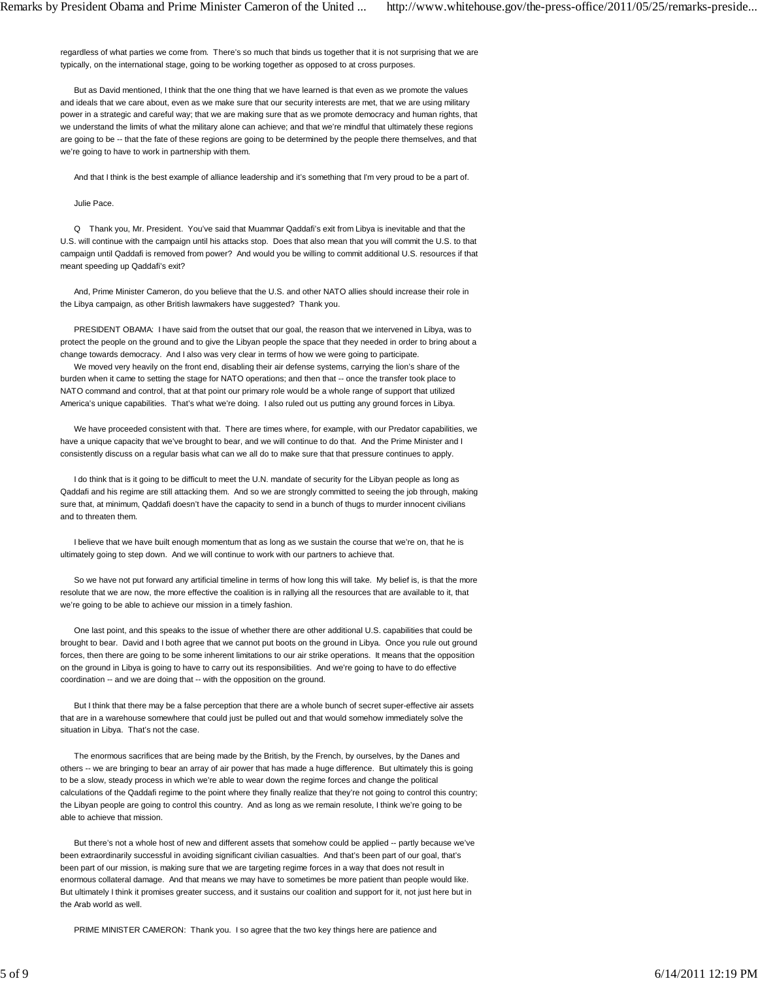regardless of what parties we come from. There's so much that binds us together that it is not surprising that we are typically, on the international stage, going to be working together as opposed to at cross purposes.

 But as David mentioned, I think that the one thing that we have learned is that even as we promote the values and ideals that we care about, even as we make sure that our security interests are met, that we are using military power in a strategic and careful way; that we are making sure that as we promote democracy and human rights, that we understand the limits of what the military alone can achieve; and that we're mindful that ultimately these regions are going to be -- that the fate of these regions are going to be determined by the people there themselves, and that we're going to have to work in partnership with them.

And that I think is the best example of alliance leadership and it's something that I'm very proud to be a part of.

## Julie Pace.

 Q Thank you, Mr. President. You've said that Muammar Qaddafi's exit from Libya is inevitable and that the U.S. will continue with the campaign until his attacks stop. Does that also mean that you will commit the U.S. to that campaign until Qaddafi is removed from power? And would you be willing to commit additional U.S. resources if that meant speeding up Qaddafi's exit?

 And, Prime Minister Cameron, do you believe that the U.S. and other NATO allies should increase their role in the Libya campaign, as other British lawmakers have suggested? Thank you.

 PRESIDENT OBAMA: I have said from the outset that our goal, the reason that we intervened in Libya, was to protect the people on the ground and to give the Libyan people the space that they needed in order to bring about a change towards democracy. And I also was very clear in terms of how we were going to participate.

 We moved very heavily on the front end, disabling their air defense systems, carrying the lion's share of the burden when it came to setting the stage for NATO operations; and then that -- once the transfer took place to NATO command and control, that at that point our primary role would be a whole range of support that utilized America's unique capabilities. That's what we're doing. I also ruled out us putting any ground forces in Libya.

 We have proceeded consistent with that. There are times where, for example, with our Predator capabilities, we have a unique capacity that we've brought to bear, and we will continue to do that. And the Prime Minister and I consistently discuss on a regular basis what can we all do to make sure that that pressure continues to apply.

 I do think that is it going to be difficult to meet the U.N. mandate of security for the Libyan people as long as Qaddafi and his regime are still attacking them. And so we are strongly committed to seeing the job through, making sure that, at minimum, Qaddafi doesn't have the capacity to send in a bunch of thugs to murder innocent civilians and to threaten them

 I believe that we have built enough momentum that as long as we sustain the course that we're on, that he is ultimately going to step down. And we will continue to work with our partners to achieve that.

 So we have not put forward any artificial timeline in terms of how long this will take. My belief is, is that the more resolute that we are now, the more effective the coalition is in rallying all the resources that are available to it, that we're going to be able to achieve our mission in a timely fashion.

 One last point, and this speaks to the issue of whether there are other additional U.S. capabilities that could be brought to bear. David and I both agree that we cannot put boots on the ground in Libya. Once you rule out ground forces, then there are going to be some inherent limitations to our air strike operations. It means that the opposition on the ground in Libya is going to have to carry out its responsibilities. And we're going to have to do effective coordination -- and we are doing that -- with the opposition on the ground.

 But I think that there may be a false perception that there are a whole bunch of secret super-effective air assets that are in a warehouse somewhere that could just be pulled out and that would somehow immediately solve the situation in Libya. That's not the case.

 The enormous sacrifices that are being made by the British, by the French, by ourselves, by the Danes and others -- we are bringing to bear an array of air power that has made a huge difference. But ultimately this is going to be a slow, steady process in which we're able to wear down the regime forces and change the political calculations of the Qaddafi regime to the point where they finally realize that they're not going to control this country; the Libyan people are going to control this country. And as long as we remain resolute, I think we're going to be able to achieve that mission.

 But there's not a whole host of new and different assets that somehow could be applied -- partly because we've been extraordinarily successful in avoiding significant civilian casualties. And that's been part of our goal, that's been part of our mission, is making sure that we are targeting regime forces in a way that does not result in enormous collateral damage. And that means we may have to sometimes be more patient than people would like. But ultimately I think it promises greater success, and it sustains our coalition and support for it, not just here but in the Arab world as well.

PRIME MINISTER CAMERON: Thank you. I so agree that the two key things here are patience and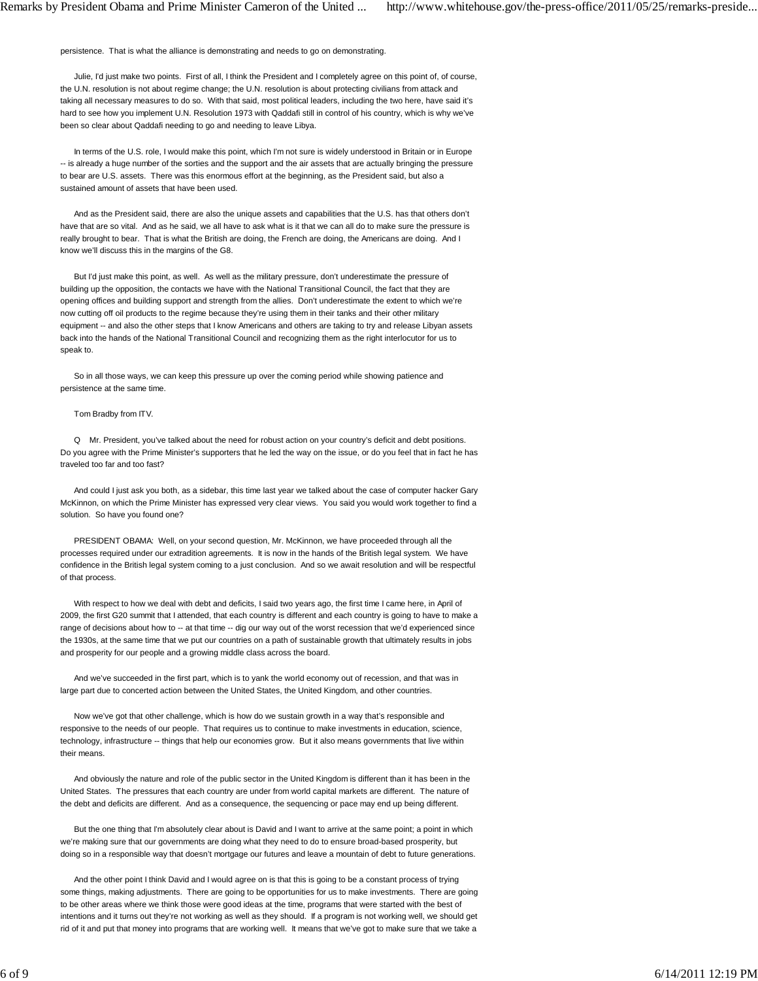persistence. That is what the alliance is demonstrating and needs to go on demonstrating.

 Julie, I'd just make two points. First of all, I think the President and I completely agree on this point of, of course, the U.N. resolution is not about regime change; the U.N. resolution is about protecting civilians from attack and taking all necessary measures to do so. With that said, most political leaders, including the two here, have said it's hard to see how you implement U.N. Resolution 1973 with Qaddafi still in control of his country, which is why we've been so clear about Qaddafi needing to go and needing to leave Libya.

 In terms of the U.S. role, I would make this point, which I'm not sure is widely understood in Britain or in Europe -- is already a huge number of the sorties and the support and the air assets that are actually bringing the pressure to bear are U.S. assets. There was this enormous effort at the beginning, as the President said, but also a sustained amount of assets that have been used.

 And as the President said, there are also the unique assets and capabilities that the U.S. has that others don't have that are so vital. And as he said, we all have to ask what is it that we can all do to make sure the pressure is really brought to bear. That is what the British are doing, the French are doing, the Americans are doing. And I know we'll discuss this in the margins of the G8.

 But I'd just make this point, as well. As well as the military pressure, don't underestimate the pressure of building up the opposition, the contacts we have with the National Transitional Council, the fact that they are opening offices and building support and strength from the allies. Don't underestimate the extent to which we're now cutting off oil products to the regime because they're using them in their tanks and their other military equipment -- and also the other steps that I know Americans and others are taking to try and release Libyan assets back into the hands of the National Transitional Council and recognizing them as the right interlocutor for us to speak to.

 So in all those ways, we can keep this pressure up over the coming period while showing patience and persistence at the same time.

## Tom Bradby from ITV.

 Q Mr. President, you've talked about the need for robust action on your country's deficit and debt positions. Do you agree with the Prime Minister's supporters that he led the way on the issue, or do you feel that in fact he has traveled too far and too fast?

 And could I just ask you both, as a sidebar, this time last year we talked about the case of computer hacker Gary McKinnon, on which the Prime Minister has expressed very clear views. You said you would work together to find a solution. So have you found one?

 PRESIDENT OBAMA: Well, on your second question, Mr. McKinnon, we have proceeded through all the processes required under our extradition agreements. It is now in the hands of the British legal system. We have confidence in the British legal system coming to a just conclusion. And so we await resolution and will be respectful of that process.

 With respect to how we deal with debt and deficits, I said two years ago, the first time I came here, in April of 2009, the first G20 summit that I attended, that each country is different and each country is going to have to make a range of decisions about how to -- at that time -- dig our way out of the worst recession that we'd experienced since the 1930s, at the same time that we put our countries on a path of sustainable growth that ultimately results in jobs and prosperity for our people and a growing middle class across the board.

 And we've succeeded in the first part, which is to yank the world economy out of recession, and that was in large part due to concerted action between the United States, the United Kingdom, and other countries.

 Now we've got that other challenge, which is how do we sustain growth in a way that's responsible and responsive to the needs of our people. That requires us to continue to make investments in education, science, technology, infrastructure -- things that help our economies grow. But it also means governments that live within their means.

 And obviously the nature and role of the public sector in the United Kingdom is different than it has been in the United States. The pressures that each country are under from world capital markets are different. The nature of the debt and deficits are different. And as a consequence, the sequencing or pace may end up being different.

 But the one thing that I'm absolutely clear about is David and I want to arrive at the same point; a point in which we're making sure that our governments are doing what they need to do to ensure broad-based prosperity, but doing so in a responsible way that doesn't mortgage our futures and leave a mountain of debt to future generations.

 And the other point I think David and I would agree on is that this is going to be a constant process of trying some things, making adjustments. There are going to be opportunities for us to make investments. There are going to be other areas where we think those were good ideas at the time, programs that were started with the best of intentions and it turns out they're not working as well as they should. If a program is not working well, we should get rid of it and put that money into programs that are working well. It means that we've got to make sure that we take a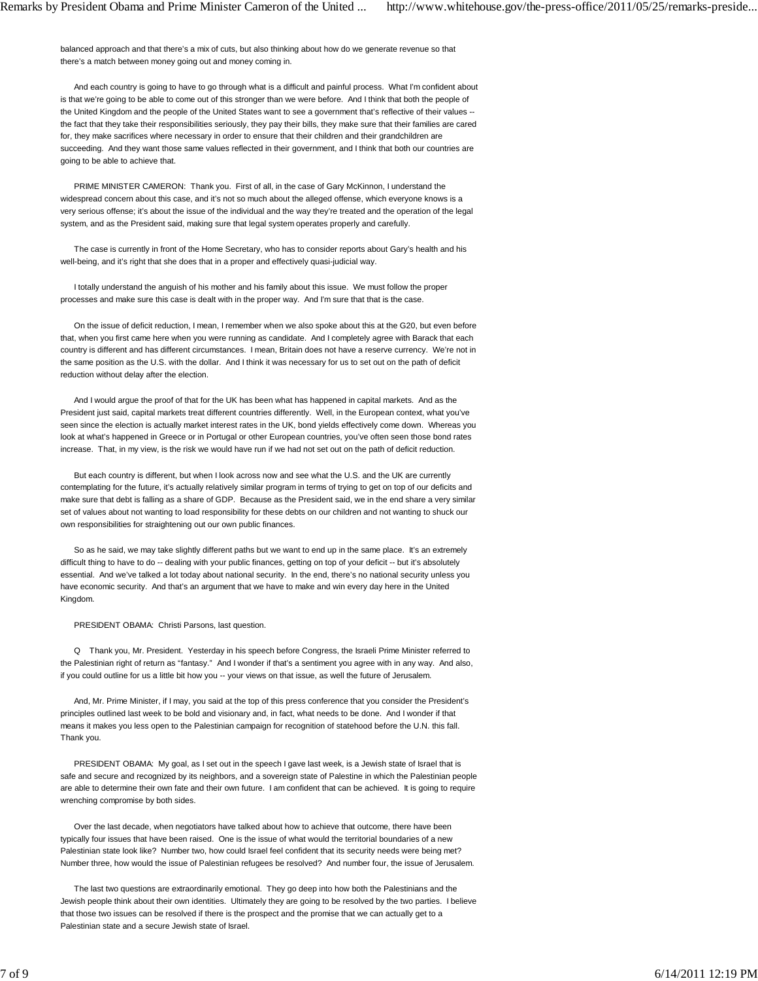balanced approach and that there's a mix of cuts, but also thinking about how do we generate revenue so that there's a match between money going out and money coming in.

 And each country is going to have to go through what is a difficult and painful process. What I'm confident about is that we're going to be able to come out of this stronger than we were before. And I think that both the people of the United Kingdom and the people of the United States want to see a government that's reflective of their values - the fact that they take their responsibilities seriously, they pay their bills, they make sure that their families are cared for, they make sacrifices where necessary in order to ensure that their children and their grandchildren are succeeding. And they want those same values reflected in their government, and I think that both our countries are going to be able to achieve that.

PRIME MINISTER CAMERON: Thank you. First of all, in the case of Gary McKinnon, I understand the widespread concern about this case, and it's not so much about the alleged offense, which everyone knows is a very serious offense; it's about the issue of the individual and the way they're treated and the operation of the legal system, and as the President said, making sure that legal system operates properly and carefully.

 The case is currently in front of the Home Secretary, who has to consider reports about Gary's health and his well-being, and it's right that she does that in a proper and effectively quasi-judicial way.

 I totally understand the anguish of his mother and his family about this issue. We must follow the proper processes and make sure this case is dealt with in the proper way. And I'm sure that that is the case.

 On the issue of deficit reduction, I mean, I remember when we also spoke about this at the G20, but even before that, when you first came here when you were running as candidate. And I completely agree with Barack that each country is different and has different circumstances. I mean, Britain does not have a reserve currency. We're not in the same position as the U.S. with the dollar. And I think it was necessary for us to set out on the path of deficit reduction without delay after the election.

 And I would argue the proof of that for the UK has been what has happened in capital markets. And as the President just said, capital markets treat different countries differently. Well, in the European context, what you've seen since the election is actually market interest rates in the UK, bond yields effectively come down. Whereas you look at what's happened in Greece or in Portugal or other European countries, you've often seen those bond rates increase. That, in my view, is the risk we would have run if we had not set out on the path of deficit reduction.

 But each country is different, but when I look across now and see what the U.S. and the UK are currently contemplating for the future, it's actually relatively similar program in terms of trying to get on top of our deficits and make sure that debt is falling as a share of GDP. Because as the President said, we in the end share a very similar set of values about not wanting to load responsibility for these debts on our children and not wanting to shuck our own responsibilities for straightening out our own public finances.

 So as he said, we may take slightly different paths but we want to end up in the same place. It's an extremely difficult thing to have to do -- dealing with your public finances, getting on top of your deficit -- but it's absolutely essential. And we've talked a lot today about national security. In the end, there's no national security unless you have economic security. And that's an argument that we have to make and win every day here in the United Kingdom.

PRESIDENT OBAMA: Christi Parsons, last question.

 Q Thank you, Mr. President. Yesterday in his speech before Congress, the Israeli Prime Minister referred to the Palestinian right of return as "fantasy." And I wonder if that's a sentiment you agree with in any way. And also, if you could outline for us a little bit how you -- your views on that issue, as well the future of Jerusalem.

 And, Mr. Prime Minister, if I may, you said at the top of this press conference that you consider the President's principles outlined last week to be bold and visionary and, in fact, what needs to be done. And I wonder if that means it makes you less open to the Palestinian campaign for recognition of statehood before the U.N. this fall. Thank you.

PRESIDENT OBAMA: My goal, as I set out in the speech I gave last week, is a Jewish state of Israel that is safe and secure and recognized by its neighbors, and a sovereign state of Palestine in which the Palestinian people are able to determine their own fate and their own future. I am confident that can be achieved. It is going to require wrenching compromise by both sides.

 Over the last decade, when negotiators have talked about how to achieve that outcome, there have been typically four issues that have been raised. One is the issue of what would the territorial boundaries of a new Palestinian state look like? Number two, how could Israel feel confident that its security needs were being met? Number three, how would the issue of Palestinian refugees be resolved? And number four, the issue of Jerusalem.

 The last two questions are extraordinarily emotional. They go deep into how both the Palestinians and the Jewish people think about their own identities. Ultimately they are going to be resolved by the two parties. I believe that those two issues can be resolved if there is the prospect and the promise that we can actually get to a Palestinian state and a secure Jewish state of Israel.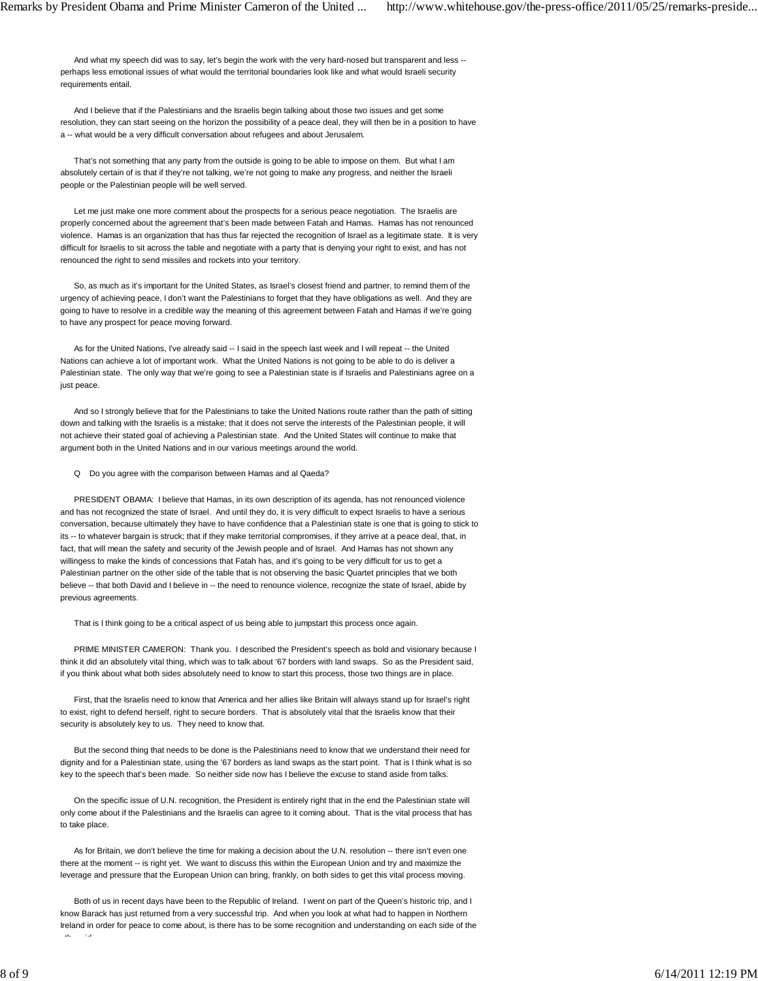And what my speech did was to say, let's begin the work with the very hard-nosed but transparent and less -perhaps less emotional issues of what would the territorial boundaries look like and what would Israeli security requirements entail.

 And I believe that if the Palestinians and the Israelis begin talking about those two issues and get some resolution, they can start seeing on the horizon the possibility of a peace deal, they will then be in a position to have a -- what would be a very difficult conversation about refugees and about Jerusalem.

 That's not something that any party from the outside is going to be able to impose on them. But what I am absolutely certain of is that if they're not talking, we're not going to make any progress, and neither the Israeli people or the Palestinian people will be well served.

 Let me just make one more comment about the prospects for a serious peace negotiation. The Israelis are properly concerned about the agreement that's been made between Fatah and Hamas. Hamas has not renounced violence. Hamas is an organization that has thus far rejected the recognition of Israel as a legitimate state. It is very difficult for Israelis to sit across the table and negotiate with a party that is denying your right to exist, and has not renounced the right to send missiles and rockets into your territory.

 So, as much as it's important for the United States, as Israel's closest friend and partner, to remind them of the urgency of achieving peace, I don't want the Palestinians to forget that they have obligations as well. And they are going to have to resolve in a credible way the meaning of this agreement between Fatah and Hamas if we're going to have any prospect for peace moving forward.

 As for the United Nations, I've already said -- I said in the speech last week and I will repeat -- the United Nations can achieve a lot of important work. What the United Nations is not going to be able to do is deliver a Palestinian state. The only way that we're going to see a Palestinian state is if Israelis and Palestinians agree on a just peace.

 And so I strongly believe that for the Palestinians to take the United Nations route rather than the path of sitting down and talking with the Israelis is a mistake; that it does not serve the interests of the Palestinian people, it will not achieve their stated goal of achieving a Palestinian state. And the United States will continue to make that argument both in the United Nations and in our various meetings around the world.

Q Do you agree with the comparison between Hamas and al Qaeda?

 PRESIDENT OBAMA: I believe that Hamas, in its own description of its agenda, has not renounced violence and has not recognized the state of Israel. And until they do, it is very difficult to expect Israelis to have a serious conversation, because ultimately they have to have confidence that a Palestinian state is one that is going to stick to its -- to whatever bargain is struck; that if they make territorial compromises, if they arrive at a peace deal, that, in fact, that will mean the safety and security of the Jewish people and of Israel. And Hamas has not shown any willingess to make the kinds of concessions that Fatah has, and it's going to be very difficult for us to get a Palestinian partner on the other side of the table that is not observing the basic Quartet principles that we both believe -- that both David and I believe in -- the need to renounce violence, recognize the state of Israel, abide by previous agreements.

That is I think going to be a critical aspect of us being able to jumpstart this process once again.

 PRIME MINISTER CAMERON: Thank you. I described the President's speech as bold and visionary because I think it did an absolutely vital thing, which was to talk about '67 borders with land swaps. So as the President said, if you think about what both sides absolutely need to know to start this process, those two things are in place.

 First, that the Israelis need to know that America and her allies like Britain will always stand up for Israel's right to exist, right to defend herself, right to secure borders. That is absolutely vital that the Israelis know that their security is absolutely key to us. They need to know that.

 But the second thing that needs to be done is the Palestinians need to know that we understand their need for dignity and for a Palestinian state, using the '67 borders as land swaps as the start point. That is I think what is so key to the speech that's been made. So neither side now has I believe the excuse to stand aside from talks.

 On the specific issue of U.N. recognition, the President is entirely right that in the end the Palestinian state will only come about if the Palestinians and the Israelis can agree to it coming about. That is the vital process that has to take place.

 As for Britain, we don't believe the time for making a decision about the U.N. resolution -- there isn't even one there at the moment -- is right yet. We want to discuss this within the European Union and try and maximize the leverage and pressure that the European Union can bring, frankly, on both sides to get this vital process moving.

 Both of us in recent days have been to the Republic of Ireland. I went on part of the Queen's historic trip, and I know Barack has just returned from a very successful trip. And when you look at what had to happen in Northern Ireland in order for peace to come about, is there has to be some recognition and understanding on each side of the

th id